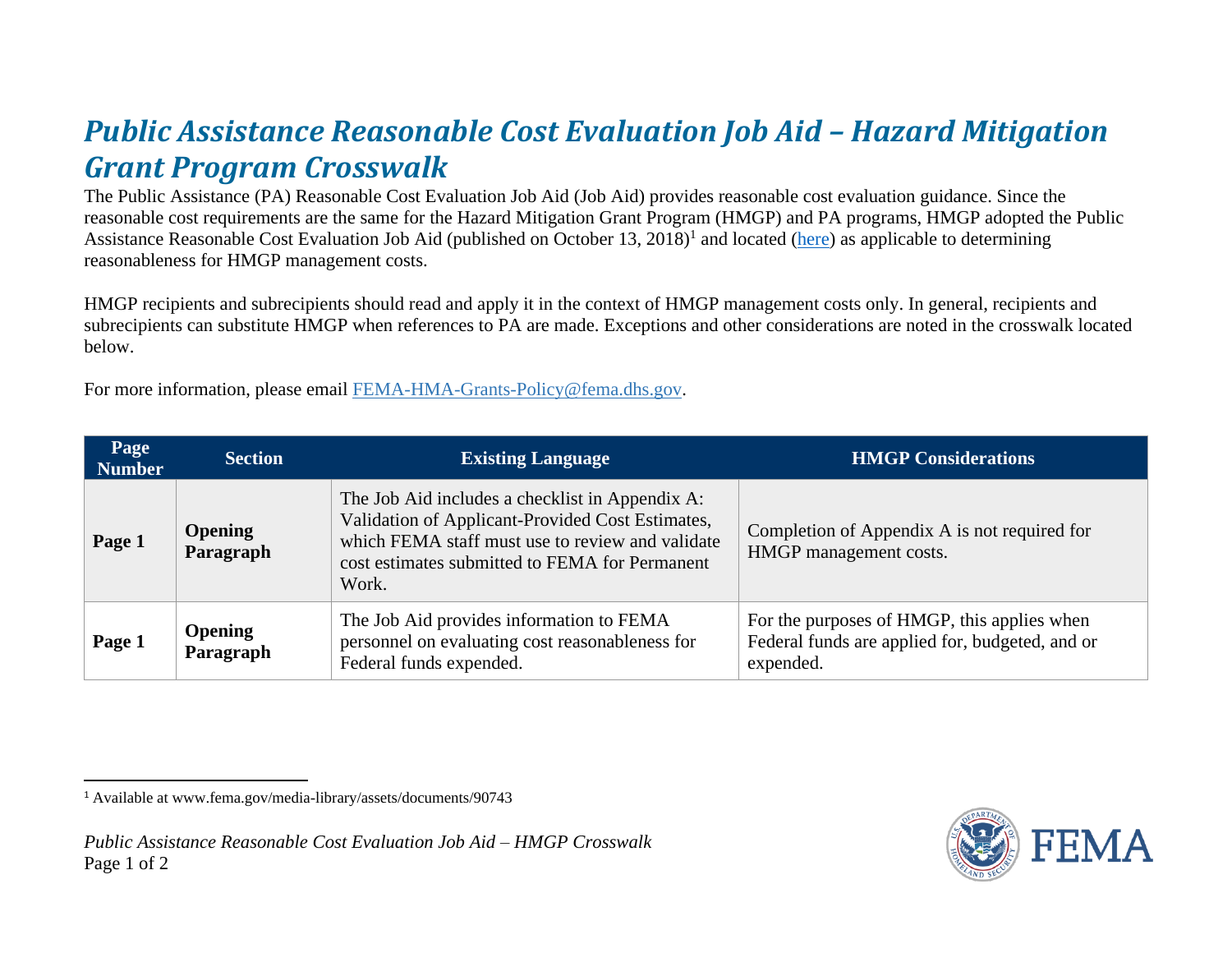## *Public Assistance Reasonable Cost Evaluation Job Aid – Hazard Mitigation Grant Program Crosswalk*

The Public Assistance (PA) Reasonable Cost Evaluation Job Aid (Job Aid) provides reasonable cost evaluation guidance. Since the reasonable cost requirements are the same for the Hazard Mitigation Grant Program (HMGP) and PA programs, HMGP adopted the Public Assistance Reasonable Cost Evaluation Job Aid (published on October 13, 2018)<sup>1</sup> and located (here) as applicable to determining reasonableness for HMGP management costs.

HMGP recipients and subrecipients should read and apply it in the context of HMGP management costs only. In general, recipients and subrecipients can substitute HMGP when references to PA are made. Exceptions and other considerations are noted in the crosswalk located below.

For more information, please email FEMA-HMA-Grants-Policy@fema.dhs.gov.

| Page<br><b>Number</b> | <b>Section</b>              | <b>Existing Language</b>                                                                                                                                                                                           | <b>HMGP Considerations</b>                                                                                  |
|-----------------------|-----------------------------|--------------------------------------------------------------------------------------------------------------------------------------------------------------------------------------------------------------------|-------------------------------------------------------------------------------------------------------------|
| Page 1                | <b>Opening</b><br>Paragraph | The Job Aid includes a checklist in Appendix A:<br>Validation of Applicant-Provided Cost Estimates,<br>which FEMA staff must use to review and validate<br>cost estimates submitted to FEMA for Permanent<br>Work. | Completion of Appendix A is not required for<br>HMGP management costs.                                      |
| Page 1                | <b>Opening</b><br>Paragraph | The Job Aid provides information to FEMA<br>personnel on evaluating cost reasonableness for<br>Federal funds expended.                                                                                             | For the purposes of HMGP, this applies when<br>Federal funds are applied for, budgeted, and or<br>expended. |



<sup>1</sup> Available at www.fema.gov/media-library/assets/documents/90743